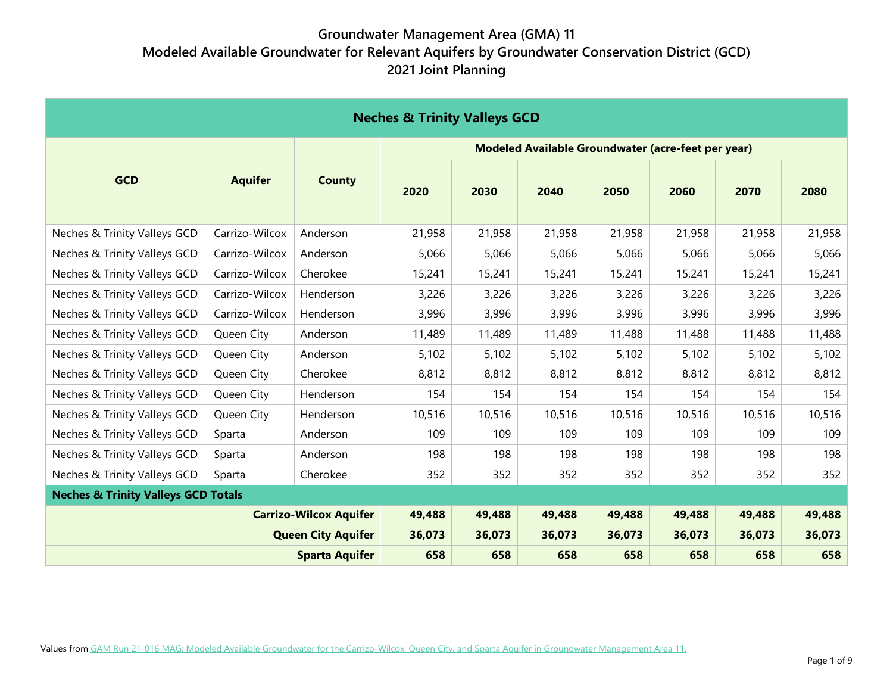| <b>Neches &amp; Trinity Valleys GCD</b>        |                |                               |                                                    |        |        |        |        |        |        |  |  |
|------------------------------------------------|----------------|-------------------------------|----------------------------------------------------|--------|--------|--------|--------|--------|--------|--|--|
|                                                |                |                               | Modeled Available Groundwater (acre-feet per year) |        |        |        |        |        |        |  |  |
| <b>GCD</b>                                     | <b>Aquifer</b> | <b>County</b>                 | 2020                                               | 2030   | 2040   | 2050   | 2060   | 2070   | 2080   |  |  |
| Neches & Trinity Valleys GCD                   | Carrizo-Wilcox | Anderson                      | 21,958                                             | 21,958 | 21,958 | 21,958 | 21,958 | 21,958 | 21,958 |  |  |
| Neches & Trinity Valleys GCD                   | Carrizo-Wilcox | Anderson                      | 5,066                                              | 5,066  | 5,066  | 5,066  | 5,066  | 5,066  | 5,066  |  |  |
| Neches & Trinity Valleys GCD                   | Carrizo-Wilcox | Cherokee                      | 15,241                                             | 15,241 | 15,241 | 15,241 | 15,241 | 15,241 | 15,241 |  |  |
| Neches & Trinity Valleys GCD                   | Carrizo-Wilcox | Henderson                     | 3,226                                              | 3,226  | 3,226  | 3,226  | 3,226  | 3,226  | 3,226  |  |  |
| Neches & Trinity Valleys GCD                   | Carrizo-Wilcox | Henderson                     | 3,996                                              | 3,996  | 3,996  | 3,996  | 3,996  | 3,996  | 3,996  |  |  |
| Neches & Trinity Valleys GCD                   | Queen City     | Anderson                      | 11,489                                             | 11,489 | 11,489 | 11,488 | 11,488 | 11,488 | 11,488 |  |  |
| Neches & Trinity Valleys GCD                   | Queen City     | Anderson                      | 5,102                                              | 5,102  | 5,102  | 5,102  | 5,102  | 5,102  | 5,102  |  |  |
| Neches & Trinity Valleys GCD                   | Queen City     | Cherokee                      | 8,812                                              | 8,812  | 8,812  | 8,812  | 8,812  | 8,812  | 8,812  |  |  |
| Neches & Trinity Valleys GCD                   | Queen City     | Henderson                     | 154                                                | 154    | 154    | 154    | 154    | 154    | 154    |  |  |
| Neches & Trinity Valleys GCD                   | Queen City     | Henderson                     | 10,516                                             | 10,516 | 10,516 | 10,516 | 10,516 | 10,516 | 10,516 |  |  |
| Neches & Trinity Valleys GCD                   | Sparta         | Anderson                      | 109                                                | 109    | 109    | 109    | 109    | 109    | 109    |  |  |
| Neches & Trinity Valleys GCD                   | Sparta         | Anderson                      | 198                                                | 198    | 198    | 198    | 198    | 198    | 198    |  |  |
| Neches & Trinity Valleys GCD                   | Sparta         | Cherokee                      | 352                                                | 352    | 352    | 352    | 352    | 352    | 352    |  |  |
| <b>Neches &amp; Trinity Valleys GCD Totals</b> |                |                               |                                                    |        |        |        |        |        |        |  |  |
|                                                |                | <b>Carrizo-Wilcox Aquifer</b> | 49,488                                             | 49,488 | 49,488 | 49,488 | 49,488 | 49,488 | 49,488 |  |  |
|                                                |                | <b>Queen City Aquifer</b>     | 36,073                                             | 36,073 | 36,073 | 36,073 | 36,073 | 36,073 | 36,073 |  |  |
|                                                |                | <b>Sparta Aquifer</b>         | 658                                                | 658    | 658    | 658    | 658    | 658    | 658    |  |  |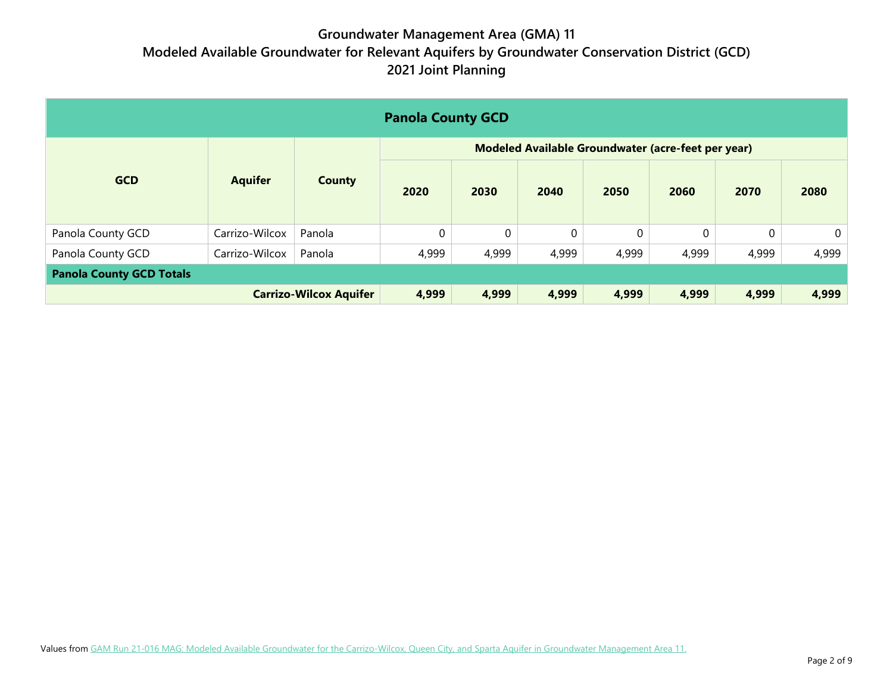| <b>Panola County GCD</b>        |                |                               |                                                    |             |       |       |          |       |                |  |  |
|---------------------------------|----------------|-------------------------------|----------------------------------------------------|-------------|-------|-------|----------|-------|----------------|--|--|
|                                 |                |                               | Modeled Available Groundwater (acre-feet per year) |             |       |       |          |       |                |  |  |
| <b>GCD</b>                      | <b>Aquifer</b> | <b>County</b>                 | 2020                                               | 2030        | 2040  | 2050  | 2060     | 2070  | 2080           |  |  |
| Panola County GCD               | Carrizo-Wilcox | Panola                        | 0                                                  | $\mathbf 0$ | 0     | 0     | $\Omega$ |       | $\overline{0}$ |  |  |
| Panola County GCD               | Carrizo-Wilcox | Panola                        | 4,999                                              | 4,999       | 4,999 | 4,999 | 4,999    | 4,999 | 4,999          |  |  |
| <b>Panola County GCD Totals</b> |                |                               |                                                    |             |       |       |          |       |                |  |  |
|                                 |                | <b>Carrizo-Wilcox Aquifer</b> | 4,999                                              | 4,999       | 4,999 | 4,999 | 4,999    | 4,999 | 4,999          |  |  |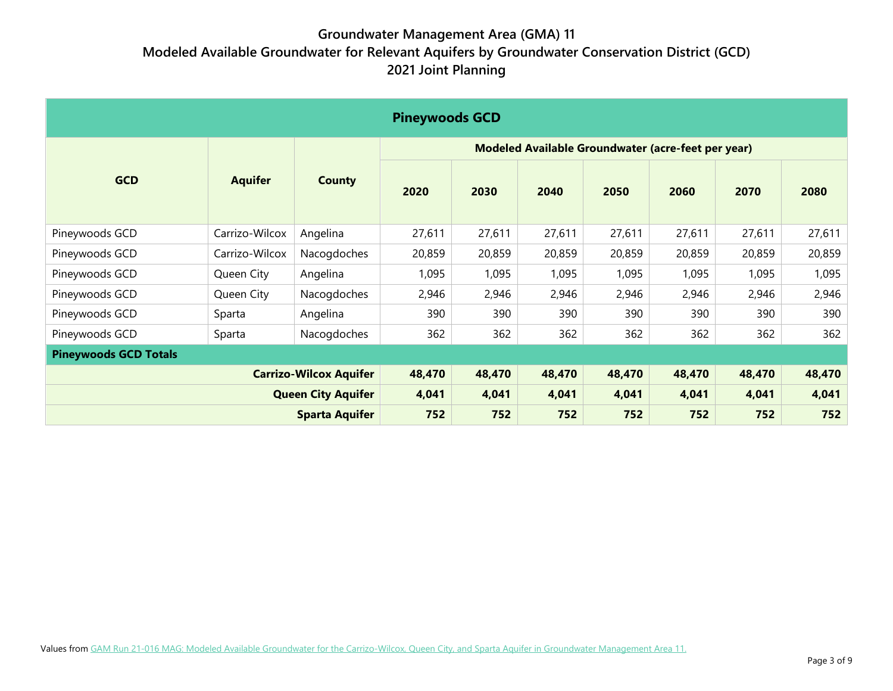| <b>Pineywoods GCD</b>        |                |                               |                                                    |        |        |        |        |        |        |  |  |
|------------------------------|----------------|-------------------------------|----------------------------------------------------|--------|--------|--------|--------|--------|--------|--|--|
|                              |                |                               | Modeled Available Groundwater (acre-feet per year) |        |        |        |        |        |        |  |  |
| <b>GCD</b>                   | <b>Aquifer</b> | <b>County</b>                 | 2020                                               | 2030   | 2040   | 2050   | 2060   | 2070   | 2080   |  |  |
| Pineywoods GCD               | Carrizo-Wilcox | Angelina                      | 27,611                                             | 27,611 | 27,611 | 27,611 | 27,611 | 27,611 | 27,611 |  |  |
| Pineywoods GCD               | Carrizo-Wilcox | Nacogdoches                   | 20,859                                             | 20,859 | 20,859 | 20,859 | 20,859 | 20,859 | 20,859 |  |  |
| Pineywoods GCD               | Queen City     | Angelina                      | 1,095                                              | 1,095  | 1,095  | 1,095  | 1,095  | 1,095  | 1,095  |  |  |
| Pineywoods GCD               | Queen City     | Nacogdoches                   | 2,946                                              | 2,946  | 2,946  | 2,946  | 2,946  | 2,946  | 2,946  |  |  |
| Pineywoods GCD               | Sparta         | Angelina                      | 390                                                | 390    | 390    | 390    | 390    | 390    | 390    |  |  |
| Pineywoods GCD               | Sparta         | Nacogdoches                   | 362                                                | 362    | 362    | 362    | 362    | 362    | 362    |  |  |
| <b>Pineywoods GCD Totals</b> |                |                               |                                                    |        |        |        |        |        |        |  |  |
|                              |                | <b>Carrizo-Wilcox Aquifer</b> | 48,470                                             | 48,470 | 48,470 | 48,470 | 48,470 | 48,470 | 48,470 |  |  |
|                              |                | <b>Queen City Aquifer</b>     | 4,041                                              | 4,041  | 4,041  | 4,041  | 4,041  | 4,041  | 4,041  |  |  |
|                              |                | <b>Sparta Aquifer</b>         | 752                                                | 752    | 752    | 752    | 752    | 752    | 752    |  |  |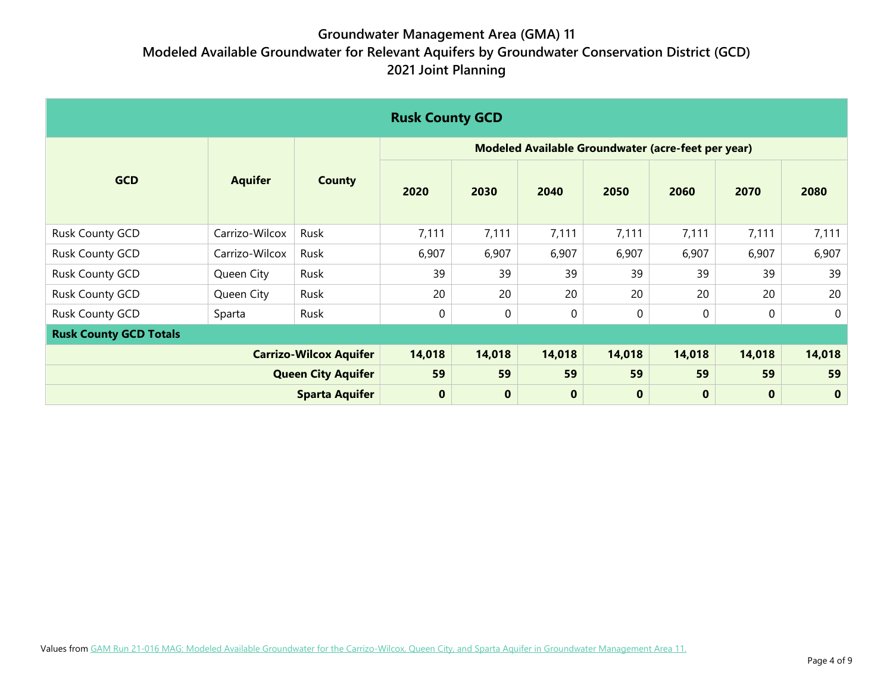| <b>Rusk County GCD</b>        |                               |                           |                                                    |                  |              |          |          |          |             |  |  |
|-------------------------------|-------------------------------|---------------------------|----------------------------------------------------|------------------|--------------|----------|----------|----------|-------------|--|--|
|                               |                               |                           | Modeled Available Groundwater (acre-feet per year) |                  |              |          |          |          |             |  |  |
| <b>GCD</b>                    | <b>Aquifer</b>                | <b>County</b>             | 2020                                               | 2030             | 2040         | 2050     | 2060     | 2070     | 2080        |  |  |
| <b>Rusk County GCD</b>        | Carrizo-Wilcox                | Rusk                      | 7,111                                              | 7,111            | 7,111        | 7,111    | 7,111    | 7,111    | 7,111       |  |  |
| Rusk County GCD               | Carrizo-Wilcox                | Rusk                      | 6,907                                              | 6,907            | 6,907        | 6,907    | 6,907    | 6,907    | 6,907       |  |  |
| <b>Rusk County GCD</b>        | Queen City                    | Rusk                      | 39                                                 | 39               | 39           | 39       | 39       | 39       | 39          |  |  |
| Rusk County GCD               | Queen City                    | Rusk                      | 20                                                 | 20               | 20           | 20       | 20       | 20       | 20          |  |  |
| Rusk County GCD               | Sparta                        | Rusk                      | 0                                                  | $\boldsymbol{0}$ | $\mathbf{0}$ | $\Omega$ | 0        | 0        | $\mathbf 0$ |  |  |
| <b>Rusk County GCD Totals</b> |                               |                           |                                                    |                  |              |          |          |          |             |  |  |
|                               | <b>Carrizo-Wilcox Aquifer</b> |                           | 14,018                                             | 14,018           | 14,018       | 14,018   | 14,018   | 14,018   | 14,018      |  |  |
|                               |                               | <b>Queen City Aquifer</b> | 59                                                 | 59               | 59           | 59       | 59       | 59       | 59          |  |  |
|                               |                               | <b>Sparta Aquifer</b>     | $\bf{0}$                                           | $\mathbf 0$      | $\bf{0}$     | $\bf{0}$ | $\bf{0}$ | $\bf{0}$ | $\mathbf 0$ |  |  |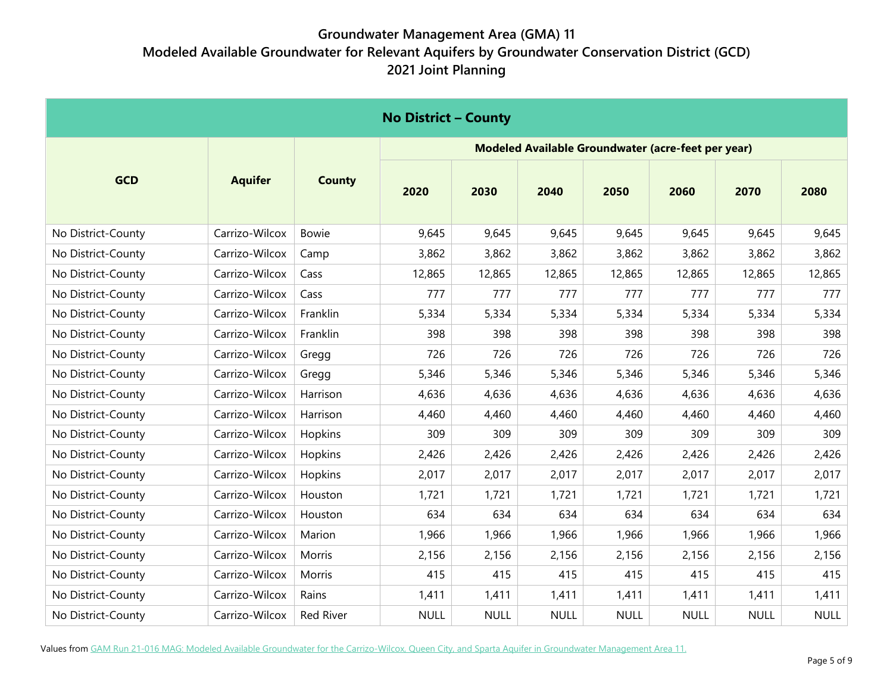| <b>No District - County</b> |                |               |                                                    |             |             |             |             |             |             |  |  |
|-----------------------------|----------------|---------------|----------------------------------------------------|-------------|-------------|-------------|-------------|-------------|-------------|--|--|
|                             |                |               | Modeled Available Groundwater (acre-feet per year) |             |             |             |             |             |             |  |  |
| <b>GCD</b>                  | <b>Aquifer</b> | <b>County</b> | 2020                                               | 2030        | 2040        | 2050        | 2060        | 2070        | 2080        |  |  |
| No District-County          | Carrizo-Wilcox | <b>Bowie</b>  | 9,645                                              | 9,645       | 9,645       | 9,645       | 9,645       | 9,645       | 9,645       |  |  |
| No District-County          | Carrizo-Wilcox | Camp          | 3,862                                              | 3,862       | 3,862       | 3,862       | 3,862       | 3,862       | 3,862       |  |  |
| No District-County          | Carrizo-Wilcox | Cass          | 12,865                                             | 12,865      | 12,865      | 12,865      | 12,865      | 12,865      | 12,865      |  |  |
| No District-County          | Carrizo-Wilcox | Cass          | 777                                                | 777         | 777         | 777         | 777         | 777         | 777         |  |  |
| No District-County          | Carrizo-Wilcox | Franklin      | 5,334                                              | 5,334       | 5,334       | 5,334       | 5,334       | 5,334       | 5,334       |  |  |
| No District-County          | Carrizo-Wilcox | Franklin      | 398                                                | 398         | 398         | 398         | 398         | 398         | 398         |  |  |
| No District-County          | Carrizo-Wilcox | Gregg         | 726                                                | 726         | 726         | 726         | 726         | 726         | 726         |  |  |
| No District-County          | Carrizo-Wilcox | Gregg         | 5,346                                              | 5,346       | 5,346       | 5,346       | 5,346       | 5,346       | 5,346       |  |  |
| No District-County          | Carrizo-Wilcox | Harrison      | 4,636                                              | 4,636       | 4,636       | 4,636       | 4,636       | 4,636       | 4,636       |  |  |
| No District-County          | Carrizo-Wilcox | Harrison      | 4,460                                              | 4,460       | 4,460       | 4,460       | 4,460       | 4,460       | 4,460       |  |  |
| No District-County          | Carrizo-Wilcox | Hopkins       | 309                                                | 309         | 309         | 309         | 309         | 309         | 309         |  |  |
| No District-County          | Carrizo-Wilcox | Hopkins       | 2,426                                              | 2,426       | 2,426       | 2,426       | 2,426       | 2,426       | 2,426       |  |  |
| No District-County          | Carrizo-Wilcox | Hopkins       | 2,017                                              | 2,017       | 2,017       | 2,017       | 2,017       | 2,017       | 2,017       |  |  |
| No District-County          | Carrizo-Wilcox | Houston       | 1,721                                              | 1,721       | 1,721       | 1,721       | 1,721       | 1,721       | 1,721       |  |  |
| No District-County          | Carrizo-Wilcox | Houston       | 634                                                | 634         | 634         | 634         | 634         | 634         | 634         |  |  |
| No District-County          | Carrizo-Wilcox | Marion        | 1,966                                              | 1,966       | 1,966       | 1,966       | 1,966       | 1,966       | 1,966       |  |  |
| No District-County          | Carrizo-Wilcox | Morris        | 2,156                                              | 2,156       | 2,156       | 2,156       | 2,156       | 2,156       | 2,156       |  |  |
| No District-County          | Carrizo-Wilcox | Morris        | 415                                                | 415         | 415         | 415         | 415         | 415         | 415         |  |  |
| No District-County          | Carrizo-Wilcox | Rains         | 1,411                                              | 1,411       | 1,411       | 1,411       | 1,411       | 1,411       | 1,411       |  |  |
| No District-County          | Carrizo-Wilcox | Red River     | <b>NULL</b>                                        | <b>NULL</b> | <b>NULL</b> | <b>NULL</b> | <b>NULL</b> | <b>NULL</b> | <b>NULL</b> |  |  |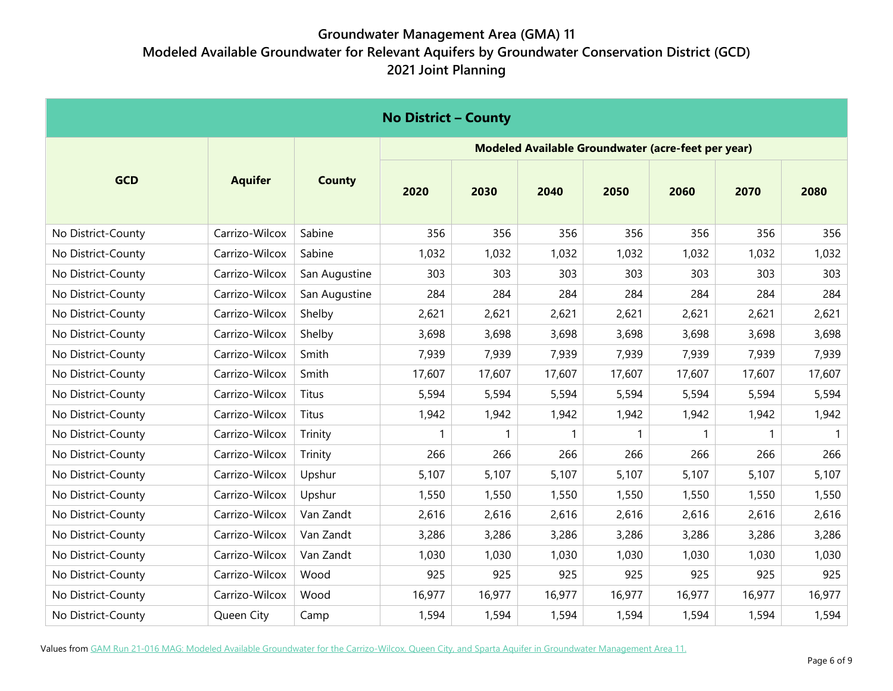| <b>No District - County</b> |                |               |                                                    |        |        |              |        |        |        |  |  |
|-----------------------------|----------------|---------------|----------------------------------------------------|--------|--------|--------------|--------|--------|--------|--|--|
|                             |                |               | Modeled Available Groundwater (acre-feet per year) |        |        |              |        |        |        |  |  |
| <b>GCD</b>                  | <b>Aquifer</b> | <b>County</b> | 2020                                               | 2030   | 2040   | 2050         | 2060   | 2070   | 2080   |  |  |
| No District-County          | Carrizo-Wilcox | Sabine        | 356                                                | 356    | 356    | 356          | 356    | 356    | 356    |  |  |
| No District-County          | Carrizo-Wilcox | Sabine        | 1,032                                              | 1,032  | 1,032  | 1,032        | 1,032  | 1,032  | 1,032  |  |  |
| No District-County          | Carrizo-Wilcox | San Augustine | 303                                                | 303    | 303    | 303          | 303    | 303    | 303    |  |  |
| No District-County          | Carrizo-Wilcox | San Augustine | 284                                                | 284    | 284    | 284          | 284    | 284    | 284    |  |  |
| No District-County          | Carrizo-Wilcox | Shelby        | 2,621                                              | 2,621  | 2,621  | 2,621        | 2,621  | 2,621  | 2,621  |  |  |
| No District-County          | Carrizo-Wilcox | Shelby        | 3,698                                              | 3,698  | 3,698  | 3,698        | 3,698  | 3,698  | 3,698  |  |  |
| No District-County          | Carrizo-Wilcox | Smith         | 7,939                                              | 7,939  | 7,939  | 7,939        | 7,939  | 7,939  | 7,939  |  |  |
| No District-County          | Carrizo-Wilcox | Smith         | 17,607                                             | 17,607 | 17,607 | 17,607       | 17,607 | 17,607 | 17,607 |  |  |
| No District-County          | Carrizo-Wilcox | Titus         | 5,594                                              | 5,594  | 5,594  | 5,594        | 5,594  | 5,594  | 5,594  |  |  |
| No District-County          | Carrizo-Wilcox | Titus         | 1,942                                              | 1,942  | 1,942  | 1,942        | 1,942  | 1,942  | 1,942  |  |  |
| No District-County          | Carrizo-Wilcox | Trinity       |                                                    | 1      | 1      | $\mathbf{1}$ |        |        | 1      |  |  |
| No District-County          | Carrizo-Wilcox | Trinity       | 266                                                | 266    | 266    | 266          | 266    | 266    | 266    |  |  |
| No District-County          | Carrizo-Wilcox | Upshur        | 5,107                                              | 5,107  | 5,107  | 5,107        | 5,107  | 5,107  | 5,107  |  |  |
| No District-County          | Carrizo-Wilcox | Upshur        | 1,550                                              | 1,550  | 1,550  | 1,550        | 1,550  | 1,550  | 1,550  |  |  |
| No District-County          | Carrizo-Wilcox | Van Zandt     | 2,616                                              | 2,616  | 2,616  | 2,616        | 2,616  | 2,616  | 2,616  |  |  |
| No District-County          | Carrizo-Wilcox | Van Zandt     | 3,286                                              | 3,286  | 3,286  | 3,286        | 3,286  | 3,286  | 3,286  |  |  |
| No District-County          | Carrizo-Wilcox | Van Zandt     | 1,030                                              | 1,030  | 1,030  | 1,030        | 1,030  | 1,030  | 1,030  |  |  |
| No District-County          | Carrizo-Wilcox | Wood          | 925                                                | 925    | 925    | 925          | 925    | 925    | 925    |  |  |
| No District-County          | Carrizo-Wilcox | Wood          | 16,977                                             | 16,977 | 16,977 | 16,977       | 16,977 | 16,977 | 16,977 |  |  |
| No District-County          | Queen City     | Camp          | 1,594                                              | 1,594  | 1,594  | 1,594        | 1,594  | 1,594  | 1,594  |  |  |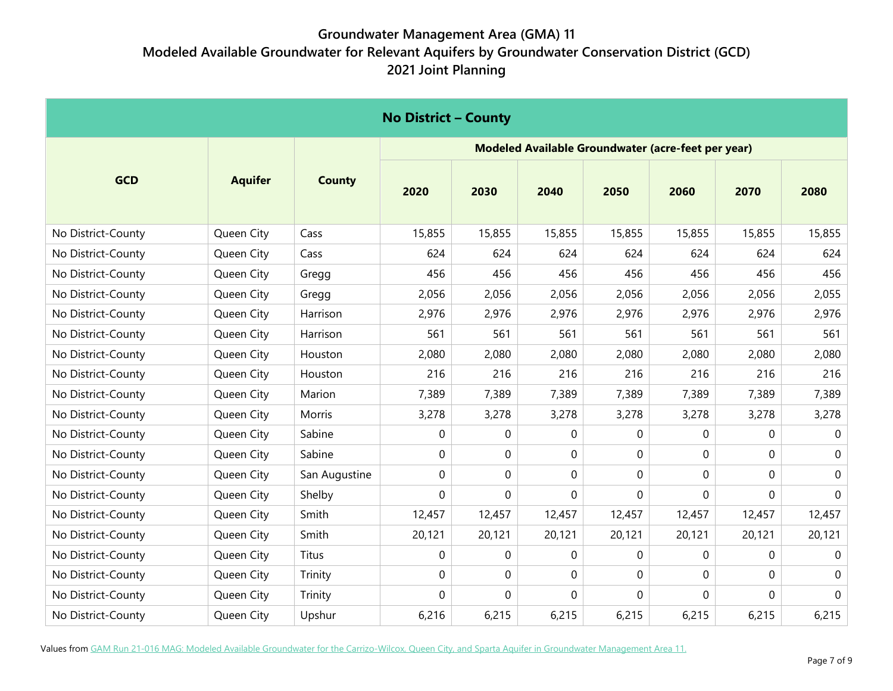| <b>No District - County</b> |                |               |                                                    |        |             |          |          |              |             |  |  |
|-----------------------------|----------------|---------------|----------------------------------------------------|--------|-------------|----------|----------|--------------|-------------|--|--|
|                             |                |               | Modeled Available Groundwater (acre-feet per year) |        |             |          |          |              |             |  |  |
| <b>GCD</b>                  | <b>Aquifer</b> | <b>County</b> | 2020                                               | 2030   | 2040        | 2050     | 2060     | 2070         | 2080        |  |  |
| No District-County          | Queen City     | Cass          | 15,855                                             | 15,855 | 15,855      | 15,855   | 15,855   | 15,855       | 15,855      |  |  |
| No District-County          | Queen City     | Cass          | 624                                                | 624    | 624         | 624      | 624      | 624          | 624         |  |  |
| No District-County          | Queen City     | Gregg         | 456                                                | 456    | 456         | 456      | 456      | 456          | 456         |  |  |
| No District-County          | Queen City     | Gregg         | 2,056                                              | 2,056  | 2,056       | 2,056    | 2,056    | 2,056        | 2,055       |  |  |
| No District-County          | Queen City     | Harrison      | 2,976                                              | 2,976  | 2,976       | 2,976    | 2,976    | 2,976        | 2,976       |  |  |
| No District-County          | Queen City     | Harrison      | 561                                                | 561    | 561         | 561      | 561      | 561          | 561         |  |  |
| No District-County          | Queen City     | Houston       | 2,080                                              | 2,080  | 2,080       | 2,080    | 2,080    | 2,080        | 2,080       |  |  |
| No District-County          | Queen City     | Houston       | 216                                                | 216    | 216         | 216      | 216      | 216          | 216         |  |  |
| No District-County          | Queen City     | Marion        | 7,389                                              | 7,389  | 7,389       | 7,389    | 7,389    | 7,389        | 7,389       |  |  |
| No District-County          | Queen City     | Morris        | 3,278                                              | 3,278  | 3,278       | 3,278    | 3,278    | 3,278        | 3,278       |  |  |
| No District-County          | Queen City     | Sabine        | 0                                                  | 0      | $\mathbf 0$ | 0        | $\Omega$ | $\mathbf{0}$ | 0           |  |  |
| No District-County          | Queen City     | Sabine        | 0                                                  | 0      | $\mathbf 0$ | $\Omega$ | $\Omega$ | $\Omega$     | 0           |  |  |
| No District-County          | Queen City     | San Augustine | 0                                                  | 0      | $\mathbf 0$ | $\Omega$ | 0        | $\Omega$     | 0           |  |  |
| No District-County          | Queen City     | Shelby        | 0                                                  | 0      | $\mathbf 0$ | 0        | 0        | $\mathbf 0$  | $\mathbf 0$ |  |  |
| No District-County          | Queen City     | Smith         | 12,457                                             | 12,457 | 12,457      | 12,457   | 12,457   | 12,457       | 12,457      |  |  |
| No District-County          | Queen City     | Smith         | 20,121                                             | 20,121 | 20,121      | 20,121   | 20,121   | 20,121       | 20,121      |  |  |
| No District-County          | Queen City     | Titus         | 0                                                  | 0      | $\mathbf 0$ | $\Omega$ | $\Omega$ | $\Omega$     | 0           |  |  |
| No District-County          | Queen City     | Trinity       | $\mathbf 0$                                        | 0      | $\mathbf 0$ | 0        | 0        | $\Omega$     | 0           |  |  |
| No District-County          | Queen City     | Trinity       | 0                                                  | 0      | $\mathbf 0$ | 0        | 0        | $\mathbf{0}$ | $\mathbf 0$ |  |  |
| No District-County          | Queen City     | Upshur        | 6,216                                              | 6,215  | 6,215       | 6,215    | 6,215    | 6,215        | 6,215       |  |  |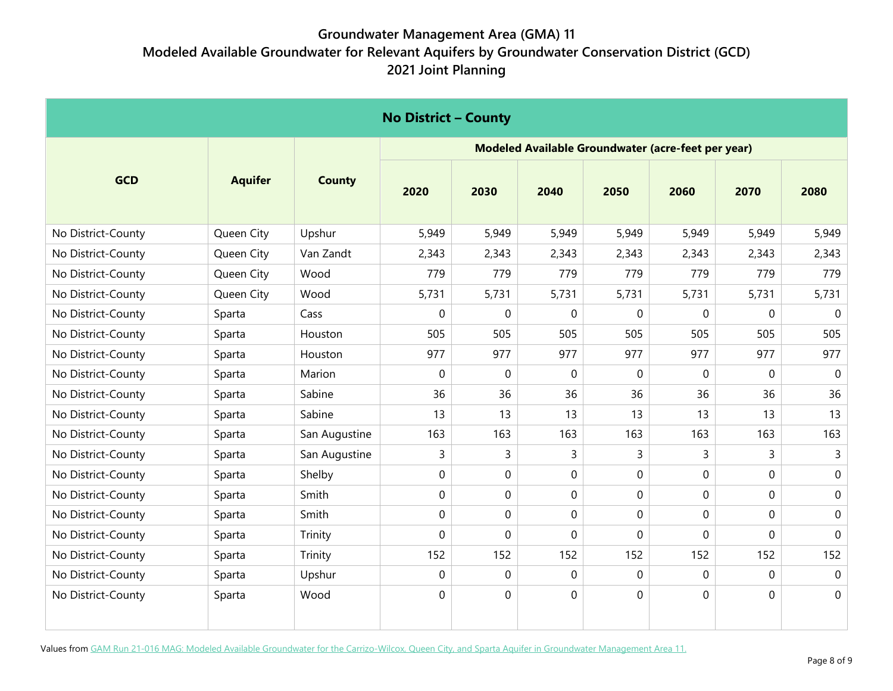| <b>No District - County</b> |                |               |             |             |                |                                                    |              |              |              |  |
|-----------------------------|----------------|---------------|-------------|-------------|----------------|----------------------------------------------------|--------------|--------------|--------------|--|
|                             |                |               |             |             |                | Modeled Available Groundwater (acre-feet per year) |              |              |              |  |
| <b>GCD</b>                  | <b>Aquifer</b> | <b>County</b> | 2020        | 2030        | 2040           | 2050                                               | 2060         | 2070         | 2080         |  |
| No District-County          | Queen City     | Upshur        | 5,949       | 5,949       | 5,949          | 5,949                                              | 5,949        | 5,949        | 5,949        |  |
| No District-County          | Queen City     | Van Zandt     | 2,343       | 2,343       | 2,343          | 2,343                                              | 2,343        | 2,343        | 2,343        |  |
| No District-County          | Queen City     | Wood          | 779         | 779         | 779            | 779                                                | 779          | 779          | 779          |  |
| No District-County          | Queen City     | Wood          | 5,731       | 5,731       | 5,731          | 5,731                                              | 5,731        | 5,731        | 5,731        |  |
| No District-County          | Sparta         | Cass          | 0           | 0           | $\mathbf 0$    | 0                                                  | 0            | $\mathbf{0}$ | $\mathbf 0$  |  |
| No District-County          | Sparta         | Houston       | 505         | 505         | 505            | 505                                                | 505          | 505          | 505          |  |
| No District-County          | Sparta         | Houston       | 977         | 977         | 977            | 977                                                | 977          | 977          | 977          |  |
| No District-County          | Sparta         | Marion        | $\mathbf 0$ | $\mathbf 0$ | $\mathbf 0$    | 0                                                  | $\Omega$     | $\Omega$     | $\mathbf 0$  |  |
| No District-County          | Sparta         | Sabine        | 36          | 36          | 36             | 36                                                 | 36           | 36           | 36           |  |
| No District-County          | Sparta         | Sabine        | 13          | 13          | 13             | 13                                                 | 13           | 13           | 13           |  |
| No District-County          | Sparta         | San Augustine | 163         | 163         | 163            | 163                                                | 163          | 163          | 163          |  |
| No District-County          | Sparta         | San Augustine | 3           | 3           | 3              | 3                                                  | 3            | 3            | $\mathsf{3}$ |  |
| No District-County          | Sparta         | Shelby        | 0           | 0           | $\mathbf 0$    | $\Omega$                                           | 0            | $\mathbf 0$  | $\mathbf 0$  |  |
| No District-County          | Sparta         | Smith         | $\mathbf 0$ | 0           | $\mathbf 0$    | 0                                                  | $\Omega$     | $\Omega$     | 0            |  |
| No District-County          | Sparta         | Smith         | 0           | 0           | $\overline{0}$ | 0                                                  | $\mathbf 0$  | $\Omega$     | $\mathbf 0$  |  |
| No District-County          | Sparta         | Trinity       | 0           | 0           | $\overline{0}$ | $\mathbf{0}$                                       | $\Omega$     | $\Omega$     | 0            |  |
| No District-County          | Sparta         | Trinity       | 152         | 152         | 152            | 152                                                | 152          | 152          | 152          |  |
| No District-County          | Sparta         | Upshur        | $\mathbf 0$ | 0           | $\mathbf 0$    | 0                                                  | $\mathbf{0}$ | $\mathbf{0}$ | $\mathbf 0$  |  |
| No District-County          | Sparta         | Wood          | 0           | 0           | $\mathbf 0$    | 0                                                  | $\mathbf 0$  | $\mathbf 0$  | $\mathbf 0$  |  |